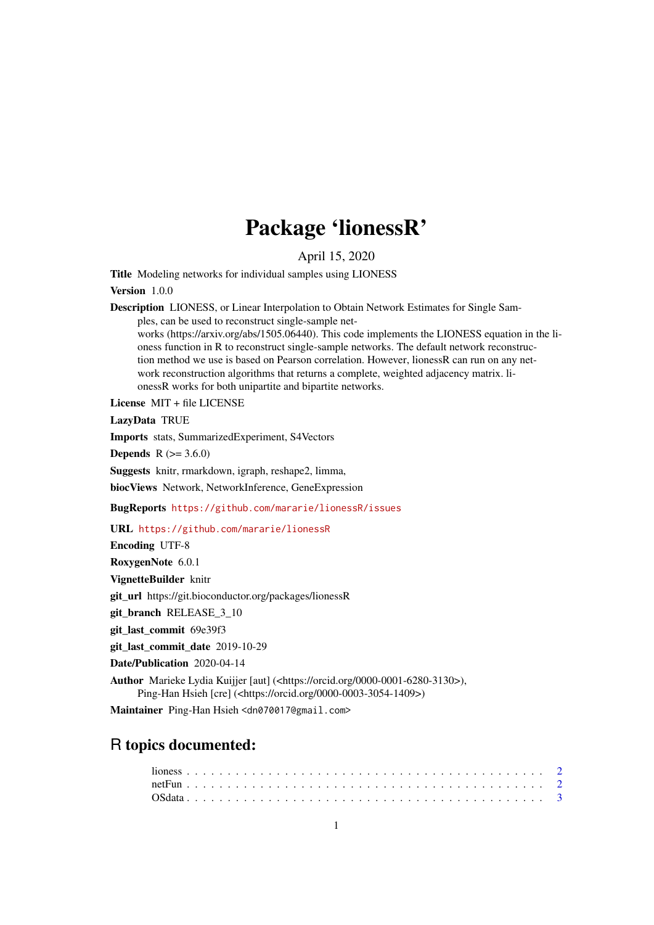## Package 'lionessR'

April 15, 2020

Title Modeling networks for individual samples using LIONESS

Version 1.0.0

Description LIONESS, or Linear Interpolation to Obtain Network Estimates for Single Samples, can be used to reconstruct single-sample networks (https://arxiv.org/abs/1505.06440). This code implements the LIONESS equation in the lioness function in R to reconstruct single-sample networks. The default network reconstruction method we use is based on Pearson correlation. However, lionessR can run on any network reconstruction algorithms that returns a complete, weighted adjacency matrix. li-

onessR works for both unipartite and bipartite networks.

License MIT + file LICENSE

LazyData TRUE

Imports stats, SummarizedExperiment, S4Vectors

**Depends**  $R$  ( $> = 3.6.0$ )

Suggests knitr, rmarkdown, igraph, reshape2, limma,

biocViews Network, NetworkInference, GeneExpression

BugReports <https://github.com/mararie/lionessR/issues>

URL <https://github.com/mararie/lionessR>

Encoding UTF-8

RoxygenNote 6.0.1

VignetteBuilder knitr

git\_url https://git.bioconductor.org/packages/lionessR

git\_branch RELEASE\_3\_10

git\_last\_commit 69e39f3

git last commit date 2019-10-29

Date/Publication 2020-04-14

Author Marieke Lydia Kuijjer [aut] (<https://orcid.org/0000-0001-6280-3130>), Ping-Han Hsieh [cre] (<https://orcid.org/0000-0003-3054-1409>)

Maintainer Ping-Han Hsieh <dn070017@gmail.com>

### R topics documented: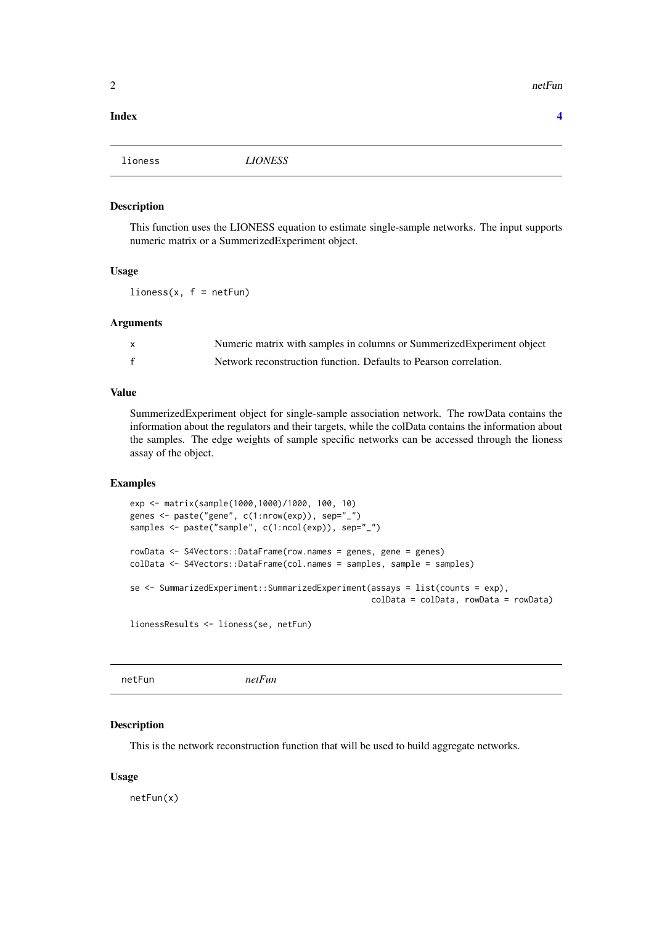#### <span id="page-1-0"></span>**Index** [4](#page-3-0)

lioness *LIONESS*

#### Description

This function uses the LIONESS equation to estimate single-sample networks. The input supports numeric matrix or a SummerizedExperiment object.

#### Usage

 $liones(x, f = netFun)$ 

#### Arguments

| x | Numeric matrix with samples in columns or SummerizedExperiment object |
|---|-----------------------------------------------------------------------|
|   | Network reconstruction function. Defaults to Pearson correlation.     |

#### Value

SummerizedExperiment object for single-sample association network. The rowData contains the information about the regulators and their targets, while the colData contains the information about the samples. The edge weights of sample specific networks can be accessed through the lioness assay of the object.

#### Examples

```
exp <- matrix(sample(1000,1000)/1000, 100, 10)
genes <- paste("gene", c(1:nrow(exp)), sep="_")
samples <- paste("sample", c(1:ncol(exp)), sep="_")
rowData <- S4Vectors::DataFrame(row.names = genes, gene = genes)
colData <- S4Vectors::DataFrame(col.names = samples, sample = samples)
se <- SummarizedExperiment::SummarizedExperiment(assays = list(counts = exp),
                                                 colData = colData, rowData = rowData)
lionessResults <- lioness(se, netFun)
```
netFun *netFun*

#### Description

This is the network reconstruction function that will be used to build aggregate networks.

#### Usage

netFun(x)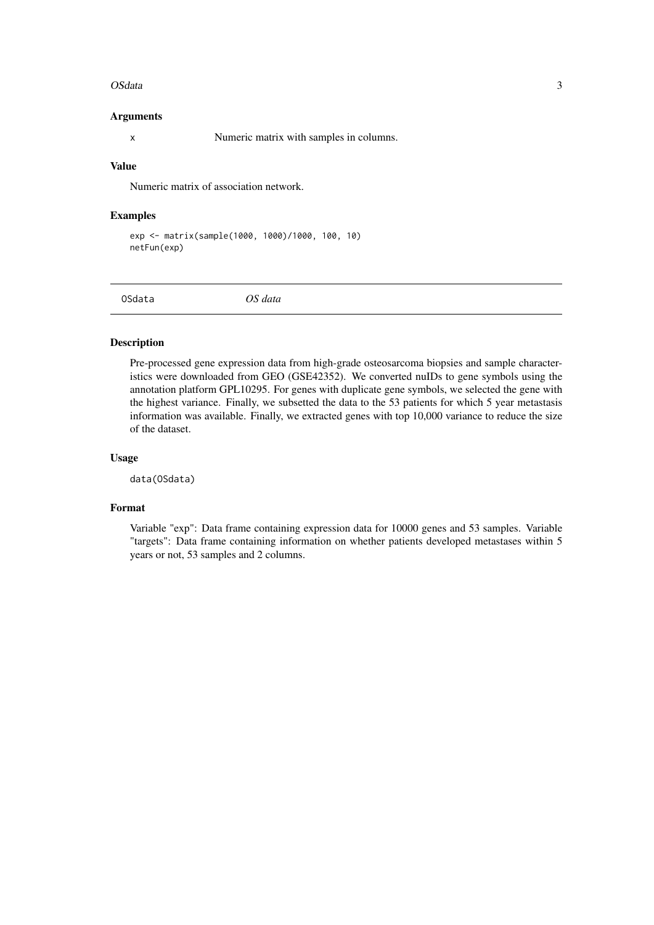#### <span id="page-2-0"></span>OSdata 3

#### Arguments

x Numeric matrix with samples in columns.

#### Value

Numeric matrix of association network.

#### Examples

```
exp <- matrix(sample(1000, 1000)/1000, 100, 10)
netFun(exp)
```
OSdata *OS data*

#### Description

Pre-processed gene expression data from high-grade osteosarcoma biopsies and sample characteristics were downloaded from GEO (GSE42352). We converted nuIDs to gene symbols using the annotation platform GPL10295. For genes with duplicate gene symbols, we selected the gene with the highest variance. Finally, we subsetted the data to the 53 patients for which 5 year metastasis information was available. Finally, we extracted genes with top 10,000 variance to reduce the size of the dataset.

#### Usage

data(OSdata)

#### Format

Variable "exp": Data frame containing expression data for 10000 genes and 53 samples. Variable "targets": Data frame containing information on whether patients developed metastases within 5 years or not, 53 samples and 2 columns.